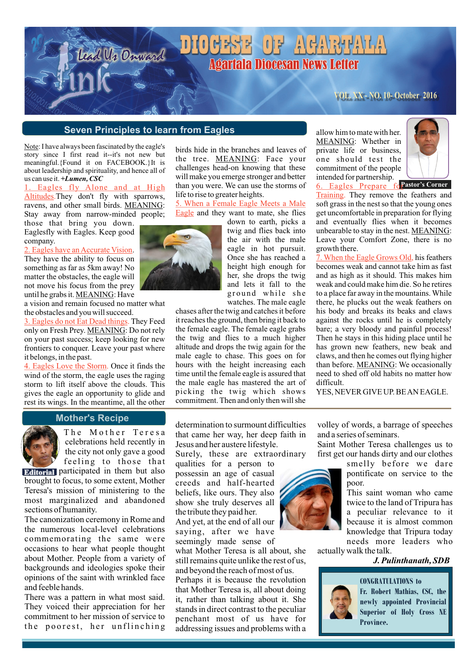# DIOGESE OF AGARTALA **Agartala Diocesan News Letter**

### **VOL. XX - NO. 10- October 2016**

#### **Seven Principles to learn from Eagles**

lead Us Onward

Note: I have always been fascinated by the eagle's story since I first read it--it's not new but meaningful.{Found it on FACEBOOK.}It is about leadership and spirituality, and hence all of us can use it. *+Lumen, CSC*

#### Altitudes. They don't fly with sparrows, ravens, and other small birds. MEANING: Stay away from narrow-minded people; Eagles fly Alone and at High

those that bring you down. Eaglesfly with Eagles. Keep good company.

2. Eagles have an Accurate Vision. They have the ability to focus on something as far as 5km away! No matter the obstacles, the eagle will not move his focus from the prey until he grabs it. MEANING: Have

a vision and remain focused no matter what the obstacles and you will succeed.

3. Eagles do not Eat Dead things. They Feed only on Fresh Prey. MEANING: Do not rely on your past success; keep looking for new frontiers to conquer. Leave your past where it belongs, in the past.

4. Eagles Love the Storm. Once it finds the wind of the storm, the eagle uses the raging storm to lift itself above the clouds. This gives the eagle an opportunity to glide and rest its wings. In the meantime, all the other

birds hide in the branches and leaves of the tree. MEANING: Face your challenges head-on knowing that these will make you emerge stronger and better than you were. We can use the storms of life to rise to greater heights.

Eagle and they want to mate, she flies 5. When a Female Eagle Meets a Male

down to earth, picks a twig and flies back into the air with the male eagle in hot pursuit. Once she has reached a height high enough for her, she drops the twig and lets it fall to the ground while she watches. The male eagle

chases after the twig and catches it before it reaches the ground, then bring it back to the female eagle. The female eagle grabs the twig and flies to a much higher altitude and drops the twig again for the male eagle to chase. This goes on for hours with the height increasing each time until the female eagle is assured that the male eagle has mastered the art of picking the twig which shows commitment. Then and only then will she allow him to mate with her. MEANING: Whether in private life or business, one should test the commitment of the people intended for partnership.



**6. Eagles Prepare forastor's Corner** Training. They remove the feathers and soft grass in the nest so that the young ones get uncomfortable in preparation for flying and eventually flies when it becomes unbearable to stay in the nest. MEANING: Leave your Comfort Zone, there is no growth there.

7. When the Eagle Grows Old, his feathers becomes weak and cannot take him as fast and as high as it should. This makes him weak and could make him die. So he retires to a place far away in the mountains. While there, he plucks out the weak feathers on his body and breaks its beaks and claws against the rocks until he is completely bare; a very bloody and painful process! Then he stays in this hiding place until he has grown new feathers, new beak and claws, and then he comes out flying higher than before. MEANING: We occasionally need to shed off old habits no matter how difficult.

YES, NEVER GIVE UP. BE AN EAGLE.

#### **Mother's Recipe**



The Mother Teresa celebrations held recently in the city not only gave a good feeling to those that

**Editorial** participated in them but also brought to focus, to some extent, Mother Teresa's mission of ministering to the most marginalized and abandoned sections of humanity.

The canonization ceremony in Rome and the numerous local-level celebrations commemorating the same were occasions to hear what people thought about Mother. People from a variety of backgrounds and ideologies spoke their opinions of the saint with wrinkled face and feeble hands.

There was a pattern in what most said. They voiced their appreciation for her commitment to her mission of service to the poorest, her unflinching

determination to surmount difficulties that came her way, her deep faith in Jesus and her austere lifestyle.

Surely, these are extraordinary

qualities for a person to possessin an age of casual creeds and half-hearted beliefs, like ours. They also show she truly deserves all the tribute they paid her. And yet, at the end of all our saying, after we have

seemingly made sense of what Mother Teresa is all about, she still remains quite unlike the rest of us,

and beyond the reach of most of us. Perhaps it is because the revolution

that Mother Teresa is, all about doing it, rather than talking about it. She stands in direct contrast to the peculiar penchant most of us have for addressing issues and problems with a

volley of words, a barrage of speeches and a series of seminars.

Saint Mother Teresa challenges us to first get our hands dirty and our clothes

> smelly before we dare pontificate on service to the poor.

This saint woman who came twice to the land of Tripura has a peculiar relevance to it because it is almost common knowledge that Tripura today needs more leaders who

actually walk the talk.  *J. Pulinthanath, SDB*

#### **CONGRATULATIONS to**



**Fr. Robert Mathias, CSC, the newly appointed Provincial Superior of Holy Cross NE Province.**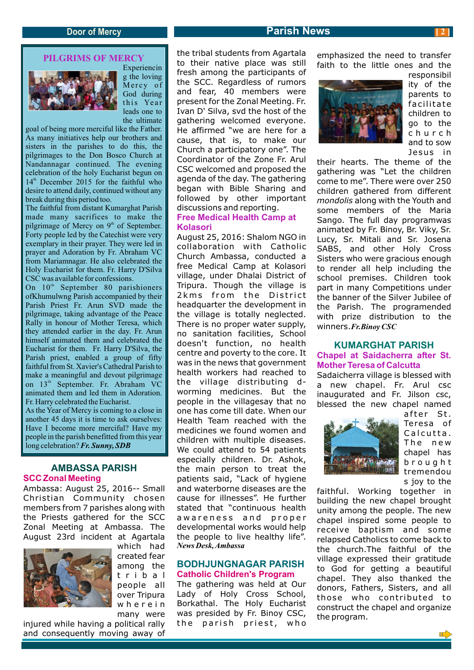### **PILGRIMS OF MERCY**



Experiencin g the loving Mercy of God during this Year leads one to the ultimate

goal of being more merciful like the Father. As many initiatives help our brothers and sisters in the parishes to do this, the pilgrimages to the Don Bosco Church at Nandannagar continued. The evening celebration of the holy Eucharist begun on  $14<sup>th</sup>$  December 2015 for the faithful who desire to attend daily, continued without any break during this period too.

The faithful from distant Kumarghat Parish made many sacrifices to make the pilgrimage of Mercy on  $9<sup>th</sup>$  of September. Forty people led by the Catechist were very exemplary in their prayer. They were led in prayer and Adoration by Fr. Abraham VC from Mariamnagar. He also celebrated the Holy Eucharist for them. Fr. Harry D'Silva CSC was available for confessions.

On  $10<sup>th</sup>$  September 80 parishioners ofKhumulwng Parish accompanied by their Parish Priest Fr. Arun SVD made the pilgrimage, taking advantage of the Peace Rally in honour of Mother Teresa, which they attended earlier in the day. Fr. Arun himself animated them and celebrated the Eucharist for them. Fr. Harry D'Silva, the Parish priest, enabled a group of fifty faithful from St. Xavier's Cathedral Parish to make a meaningful and devout pilgrimage on 13<sup>th</sup> September. Fr. Abraham VC animated them and led them in Adoration. Fr. Harry celebrated the Eucharist.

As the Year of Mercy is coming to a close in another 45 days it is time to ask ourselves: Have I become more merciful? Have my people in the parish benefitted from this year long celebration? *Fr. Sunny, SDB*

# **AMBASSA PARISH SCC Zonal Meeting**

Ambassa: August 25, 2016-- Small Christian Community chosen members from 7 parishes along with the Priests gathered for the SCC Zonal Meeting at Ambassa. The August 23rd incident at Agartala



which had created fear among the tribal people all over Tripura wherein many were *News Desk, Ambassa*

The gathering was held at Our Lady of Holy Cross School, Borkathal. The Holy Eucharist was presided by Fr. Binoy CSC, the parish priest, who

**BODHJUNGNAGAR PARISH Catholic Children's Program**

injured while having a political rally and consequently moving away of the tribal students from Agartala to their native place was still fresh among the participants of emphasized the need to transfer faith to the little ones and the

the SCC. Regardless of rumors and fear, 40 members were present for the Zonal Meeting. Fr. Ivan D' Silva, svd the host of the gathering welcomed everyone. He affirmed "we are here for a cause, that is, to make our Church a participatory one". The Coordinator of the Zone Fr. Arul CSC welcomed and proposed the agenda of the day. The gathering began with Bible Sharing and followed by other important

discussions and reporting.

**Kolasori**

August 25, 2016: Shalom NGO in collaboration with Catholic Church Ambassa, conducted a free Medical Camp at Kolasori village, under Dhalai District of Tripura. Though the village is 2kms from the District headquarter the development in the village is totally neglected. There is no proper water supply, no sanitation facilities, School doesn't function, no health centre and poverty to the core. It was in the news that government health workers had reached to the village distributing dworming medicines. But the people in the villagesay that no one has come till date. When our Health Team reached with the medicines we found women and children with multiple diseases. We could attend to 54 patients especially children. Dr. Ashok, the main person to treat the patients said, "Lack of hygiene and waterborne diseases are the cause for illnesses". He further stated that "continuous health a w areness and proper developmental works would help the people to live healthy life".

**Free Medical Health Camp at** 

responsibil

ity of the parents to facilitate children to go to the church and to sow Jesus in

their hearts. The theme of the gathering was "Let the children come to me". There were over 250 children gathered from different *mondolis* along with the Youth and some members of the Maria Sango. The full day programwas animated by Fr. Binoy, Br. Viky, Sr. Lucy, Sr. Mitali and Sr. Josena SABS, and other Holy Cross Sisters who were gracious enough to render all help including the school premises. Children took part in many Competitions under the banner of the Silver Jubilee of the Parish. The programended with prize distribution to the winners.*Fr.Binoy CSC*

# **KUMARGHAT PARISH Chapel at Saidacherra after St. Mother Teresa of Calcutta**

Sadaicherra village is blessed with a new chapel. Fr. Arul csc inaugurated and Fr. Jilson csc, blessed the new chapel named



after St. Teresa of Calcutta. The new chapel has brought tremendou s joy to the

faithful. Working together in building the new chapel brought unity among the people. The new chapel inspired some people to receive baptism and some relapsed Catholics to come back to the church.The faithful of the village expressed their gratitude to God for getting a beautiful chapel. They also thanked the donors, Fathers, Sisters, and all those who contributed to construct the chapel and organize the program.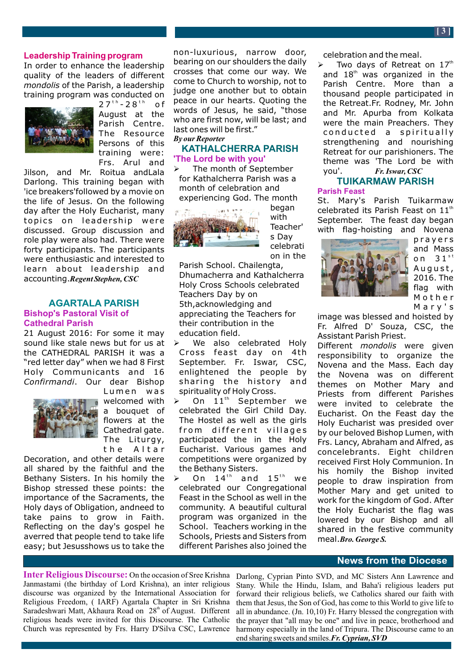In order to enhance the leadership quality of the leaders of different *mondolis* of the Parish, a leadership training program was conducted on



 $27^{th} - 28^{th}$  of August at the Parish Centre. The Resource Persons of this training were: Frs. Arul and

Jilson, and Mr. Roitua andLala Darlong. This training began with 'ice breakers'followed by a movie on the life of Jesus. On the following day after the Holy Eucharist, many topics on leadership were discussed. Group discussion and role play were also had. There were forty participants. The participants were enthusiastic and interested to learn about leadership and accounting.*Regent Stephen, CSC*

# **AGARTALA PARISH Bishop's Pastoral Visit of Cathedral Parish**

21 August 2016: For some it may sound like stale news but for us at the CATHEDRAL PARISH it was a "red letter day" when we had 8 First Holy Communicants and 16 *Confirmandi*. Our dear Bishop



Lumen was welcomed with a bouquet of flowers at the Cathedral gate. The Liturgy, the Altar

Decoration, and other details were all shared by the faithful and the Bethany Sisters. In his homily the Bishop stressed these points: the importance of the Sacraments, the Holy days of Obligation, andneed to take pains to grow in Faith. Reflecting on the day's gospel he averred that people tend to take life easy; but Jesusshows us to take the

non-luxurious, narrow door, bearing on our shoulders the daily crosses that come our way. We come to Church to worship, not to judge one another but to obtain peace in our hearts. Quoting the words of Jesus, he said, "those who are first now, will be last; and last ones will be first." *By our Reporter*

# **KATHALCHERRA PARISH 'The Lord be with you'**

The month of September for Kathalcherra Parish was a month of celebration and experiencing God. The month



with Teacher' s Day celebrati on in the

began

Parish School. Chailengta, Dhumacherra and Kathalcherra Holy Cross Schools celebrated Teachers Day by on 5th,acknowledging and appreciating the Teachers for their contribution in the education field.

- $\triangleright$  We also celebrated Holy Cross feast day on 4th September. Fr. Iswar, CSC, enlightened the people by sharing the history and spirituality of Holy Cross.
- On 11<sup>th</sup> September we celebrated the Girl Child Day. The Hostel as well as the girls from different villages participated the in the Holy Eucharist. Various games and competitions were organized by the Bethany Sisters.
- $\geq$  On 14<sup>th</sup> and 15<sup>th</sup> we celebrated our Congregational Feast in the School as well in the community. A beautiful cultural program was organized in the School. Teachers working in the Schools, Priests and Sisters from different Parishes also joined the

celebration and the meal.

 $\triangleright$  Two days of Retreat on 17<sup>th</sup> and  $18<sup>th</sup>$  was organized in the Parish Centre. More than a thousand people participated in the Retreat.Fr. Rodney, Mr. John and Mr. Apurba from Kolkata were the main Preachers. They conducted a spiritually strengthening and nourishing Retreat for our parishioners. The theme was 'The Lord be with you'. *Fr. Iswar, CSC*

#### **TUIKARMAW PARISH Parish Feast**

St. Mary's Parish Tuikarmaw celebrated its Parish Feast on  $11<sup>th</sup>$ September. The feast day began with flag-hoisting and Novena



p r a y ers and Mass on  $31^{st}$ August, 2016. The flag with Mother Mary's

image was blessed and hoisted by Fr. Alfred D' Souza, CSC, the Assistant Parish Priest.

Different *mondolis* were given responsibility to organize the Novena and the Mass. Each day the Novena was on different themes on Mother Mary and Priests from different Parishes were invited to celebrate the Eucharist. On the Feast day the Holy Eucharist was presided over by our beloved Bishop Lumen, with Frs. Lancy, Abraham and Alfred, as concelebrants. Eight children received First Holy Communion. In his homily the Bishop invited people to draw inspiration from Mother Mary and get united to work for the kingdom of God. After the Holy Eucharist the flag was lowered by our Bishop and all shared in the festive community meal.*Bro. George S.*

# **News from the Diocese**

**Inter Religious Discourse:** On the occasion of Sree Krishna Janmastami (the birthday of Lord Krishna), an inter religious discourse was organized by the International Association for Religious Freedom, ( IARF) Agartala Chapter in Sri Krishna Saradeshwari Matt, Akhaura Road on 28<sup>th</sup> of August. Different religious heads were invited for this Discourse. The Catholic Church was represented by Frs. Harry D'Silva CSC, Lawrence

Darlong, Cyprian Pinto SVD, and MC Sisters Ann Lawrence and Stany. While the Hindu, Islam, and Baha'i religious leaders put forward their religious beliefs, we Catholics shared our faith with them that Jesus, the Son of God, has come to this World to give life to all in abundance. (Jn. 10,10) Fr. Harry blessed the congregation with the prayer that "all may be one" and live in peace, brotherhood and harmony especially in the land of Tripura. The Discourse came to an end sharing sweets and smiles.*Fr. Cyprian, SVD*